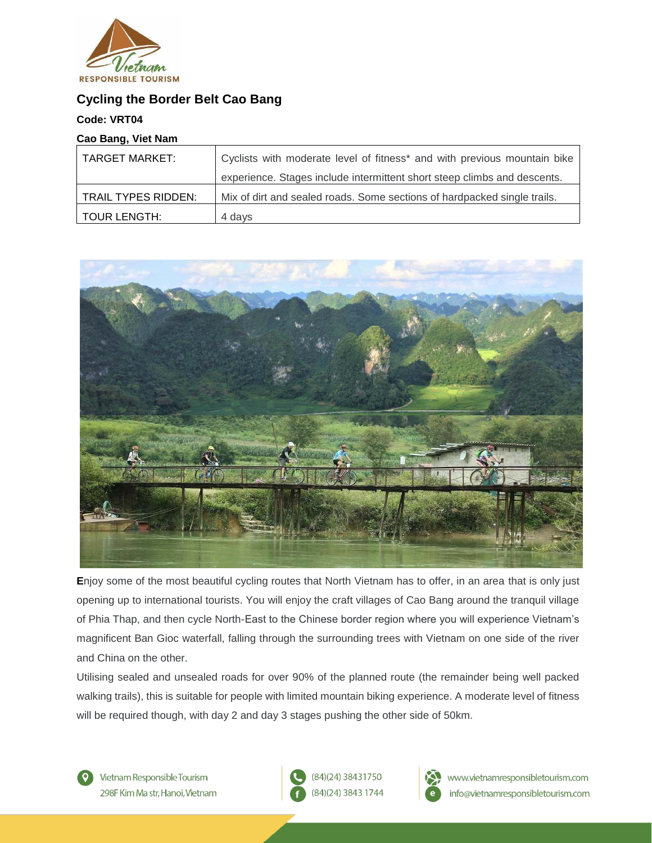

# **Cycling the Border Belt Cao Bang**

## **Code: VRT04**

## **Cao Bang, Viet Nam**

| TARGET MARKET:      | Cyclists with moderate level of fitness* and with previous mountain bike |
|---------------------|--------------------------------------------------------------------------|
|                     | experience. Stages include intermittent short steep climbs and descents. |
| TRAIL TYPES RIDDEN: | Mix of dirt and sealed roads. Some sections of hardpacked single trails. |
| TOUR LENGTH:        | 4 days                                                                   |



**E**njoy some of the most beautiful cycling routes that North Vietnam has to offer, in an area that is only just opening up to international tourists. You will enjoy the craft villages of Cao Bang around the tranquil village of Phia Thap, and then cycle North-East to the Chinese border region where you will experience Vietnam's magnificent Ban Gioc waterfall, falling through the surrounding trees with Vietnam on one side of the river and China on the other.

Utilising sealed and unsealed roads for over 90% of the planned route (the remainder being well packed walking trails), this is suitable for people with limited mountain biking experience. A moderate level of fitness will be required though, with day 2 and day 3 stages pushing the other side of 50km.

Vietnam Responsible Tourism 298F Kim Ma str. Hanoi. Vietnam (84)(24) 38431750 (84)(24) 3843 1744

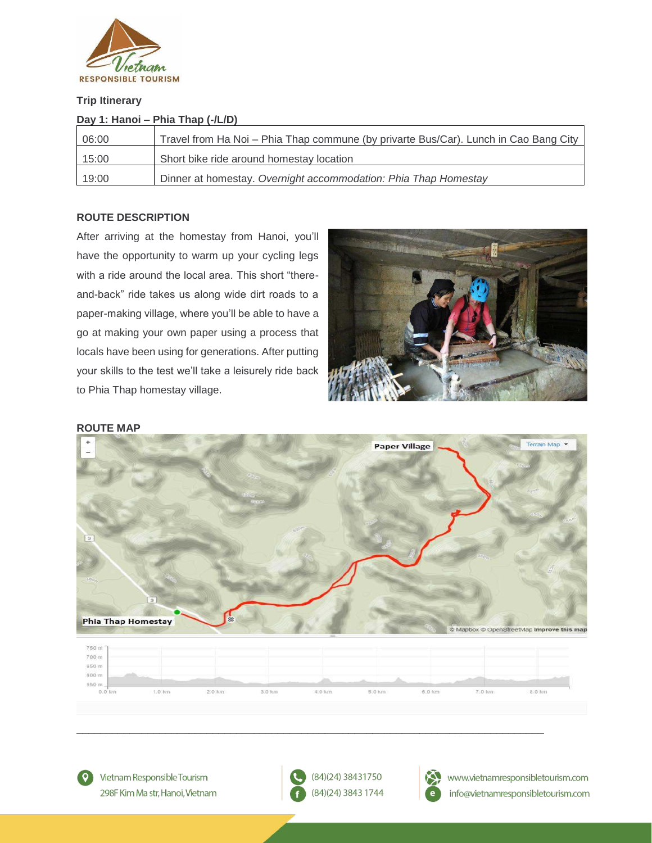

## **Trip Itinerary**

| Day 1: Hanoi – Phia Thap (-/L/D) |                                                                                      |  |
|----------------------------------|--------------------------------------------------------------------------------------|--|
| 06:00                            | Travel from Ha Noi - Phia Thap commune (by privarte Bus/Car). Lunch in Cao Bang City |  |
| 15:00                            | Short bike ride around homestay location                                             |  |
| 19:00                            | Dinner at homestay. Overnight accommodation: Phia Thap Homestay                      |  |

## **ROUTE DESCRIPTION**

After arriving at the homestay from Hanoi, you'll have the opportunity to warm up your cycling legs with a ride around the local area. This short "thereand-back" ride takes us along wide dirt roads to a paper-making village, where you'll be able to have a go at making your own paper using a process that locals have been using for generations. After putting your skills to the test we'll take a leisurely ride back to Phia Thap homestay village.



### **ROUTE MAP**



 $\circ$ 

Vietnam Responsible Tourism 298F Kim Ma str, Hanoi, Vietnam



\_\_\_\_\_\_\_\_\_\_\_\_\_\_\_\_\_\_\_\_\_\_\_\_\_\_\_\_\_\_\_\_\_\_\_\_\_\_\_\_\_\_\_\_\_\_\_\_\_\_\_\_\_\_\_\_\_\_\_\_\_\_\_\_\_\_\_\_\_\_\_\_\_\_\_\_\_\_\_



www.vietnamresponsibletourism.com info@vietnamresponsibletourism.com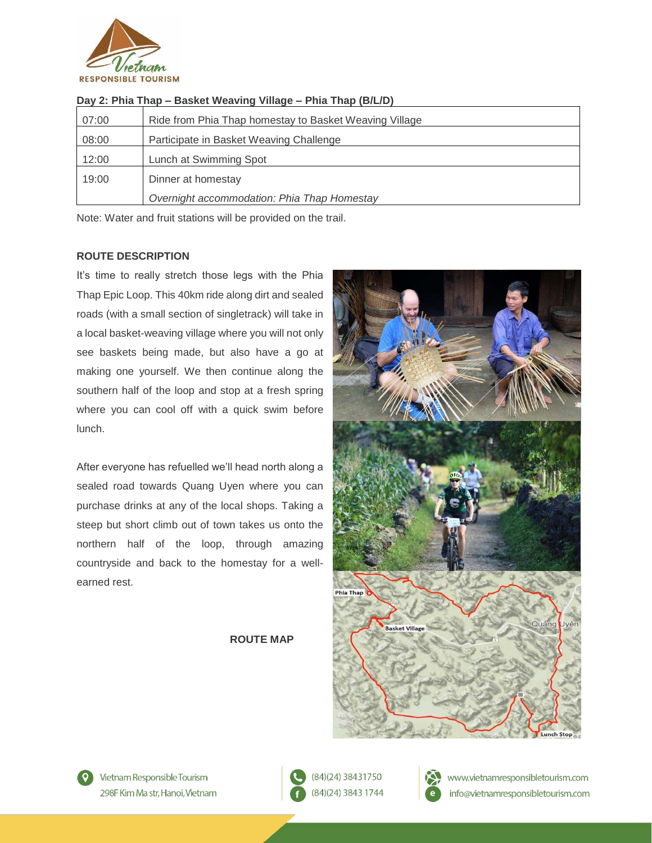

| 07:00 | Ride from Phia Thap homestay to Basket Weaving Village |
|-------|--------------------------------------------------------|
| 08:00 | Participate in Basket Weaving Challenge                |
| 12:00 | Lunch at Swimming Spot                                 |
| 19:00 | Dinner at homestay                                     |
|       | Overnight accommodation: Phia Thap Homestay            |

## **Day 2: Phia Thap – Basket Weaving Village – Phia Thap (B/L/D)**

Note: Water and fruit stations will be provided on the trail.

### **ROUTE DESCRIPTION**

It's time to really stretch those legs with the Phia Thap Epic Loop. This 40km ride along dirt and sealed roads (with a small section of singletrack) will take in a local basket-weaving village where you will not only see baskets being made, but also have a go at making one yourself. We then continue along the southern half of the loop and stop at a fresh spring where you can cool off with a quick swim before lunch.

After everyone has refuelled we'll head north along a sealed road towards Quang Uyen where you can purchase drinks at any of the local shops. Taking a steep but short climb out of town takes us onto the northern half of the loop, through amazing countryside and back to the homestay for a wellearned rest.

### **ROUTE MAP**







(84)(24) 38431750 (84)(24) 3843 1744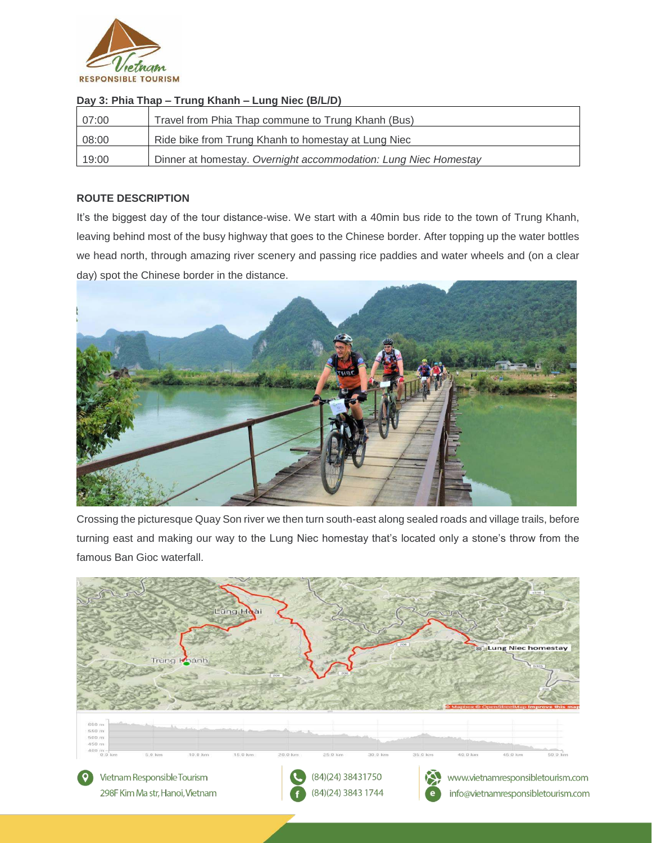

| Day 3: Phia Thap – Trung Khann – Lung Niec (B/L/D) |                                                                 |  |
|----------------------------------------------------|-----------------------------------------------------------------|--|
| 07:00                                              | Travel from Phia Thap commune to Trung Khanh (Bus)              |  |
| 08:00                                              | Ride bike from Trung Khanh to homestay at Lung Niec             |  |
| 19:00                                              | Dinner at homestay. Overnight accommodation: Lung Niec Homestay |  |

## **Day 3: Phia Thap – Trung Khanh – Lung Niec (B/L/D)**

## **ROUTE DESCRIPTION**

It's the biggest day of the tour distance-wise. We start with a 40min bus ride to the town of Trung Khanh, leaving behind most of the busy highway that goes to the Chinese border. After topping up the water bottles we head north, through amazing river scenery and passing rice paddies and water wheels and (on a clear day) spot the Chinese border in the distance.



Crossing the picturesque Quay Son river we then turn south-east along sealed roads and village trails, before turning east and making our way to the Lung Niec homestay that's located only a stone's throw from the famous Ban Gioc waterfall.

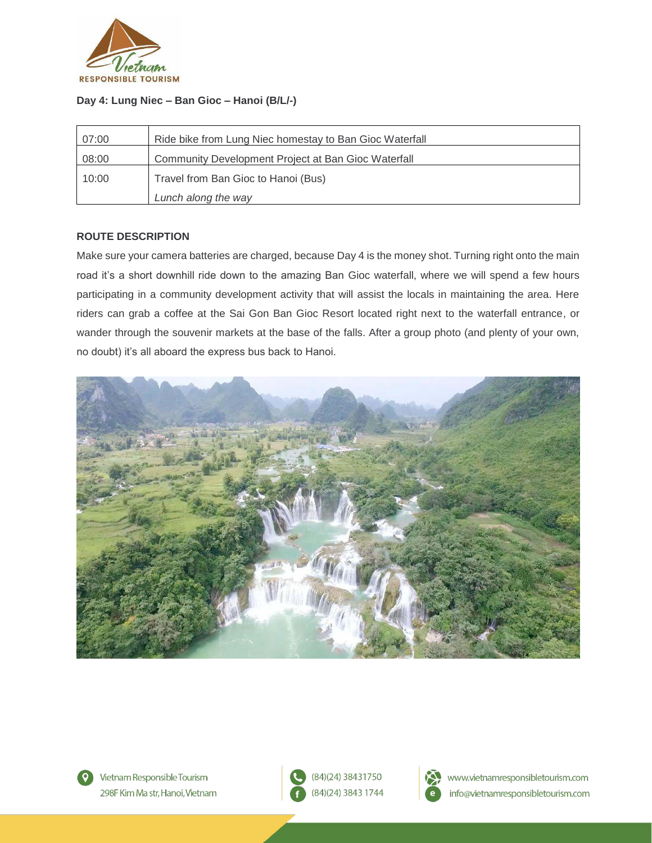

## **Day 4: Lung Niec – Ban Gioc – Hanoi (B/L/-)**

| 07:00 | Ride bike from Lung Niec homestay to Ban Gioc Waterfall |
|-------|---------------------------------------------------------|
| 08:00 | Community Development Project at Ban Gioc Waterfall     |
| 10:00 | Travel from Ban Gioc to Hanoi (Bus)                     |
|       | Lunch along the way                                     |

## **ROUTE DESCRIPTION**

Make sure your camera batteries are charged, because Day 4 is the money shot. Turning right onto the main road it's a short downhill ride down to the amazing Ban Gioc waterfall, where we will spend a few hours participating in a community development activity that will assist the locals in maintaining the area. Here riders can grab a coffee at the Sai Gon Ban Gioc Resort located right next to the waterfall entrance, or wander through the souvenir markets at the base of the falls. After a group photo (and plenty of your own, no doubt) it's all aboard the express bus back to Hanoi.



Vietnam Responsible Tourism 298F Kim Ma str. Hanoi. Vietnam